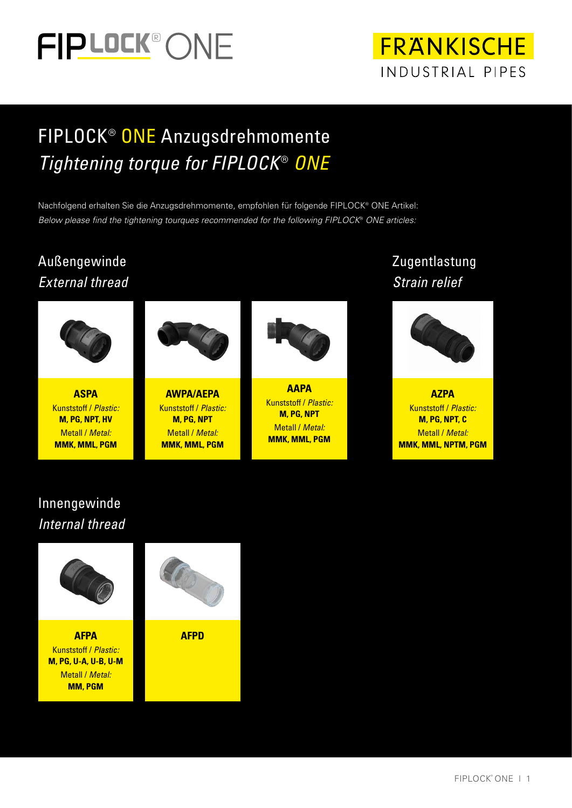



## FIPLOCK® ONE Anzugsdrehmomente *Tightening torque for FIPLOCK*® *ONE*

Nachfolgend erhalten Sie die Anzugsdrehmomente, empfohlen für folgende FIPLOCK® ONE Artikel: *Below please find the tightening tourques recommended for the following FIPLOCK*® *ONE articles:*

#### Außengewinde *External thread*



**ASPA** Kunststoff / *Plastic:* **M, PG, NPT, HV**  Metall / *Metal:*  **MMK, MML, PGM**



**AWPA/AEPA** Kunststoff / *Plastic:* **M, PG, NPT** Metall / *Metal:*  **MMK, MML, PGM**



**AAPA** Kunststoff / *Plastic:* **M, PG, NPT** Metall / *Metal:*  **MMK, MML, PGM**

#### Zugentlastung *Strain relief*



**AZPA** Kunststoff / *Plastic:* **M, PG, NPT, C** Metall / *Metal:*  **MMK, MML, NPTM, PGM**

#### Innengewinde *Internal thread*

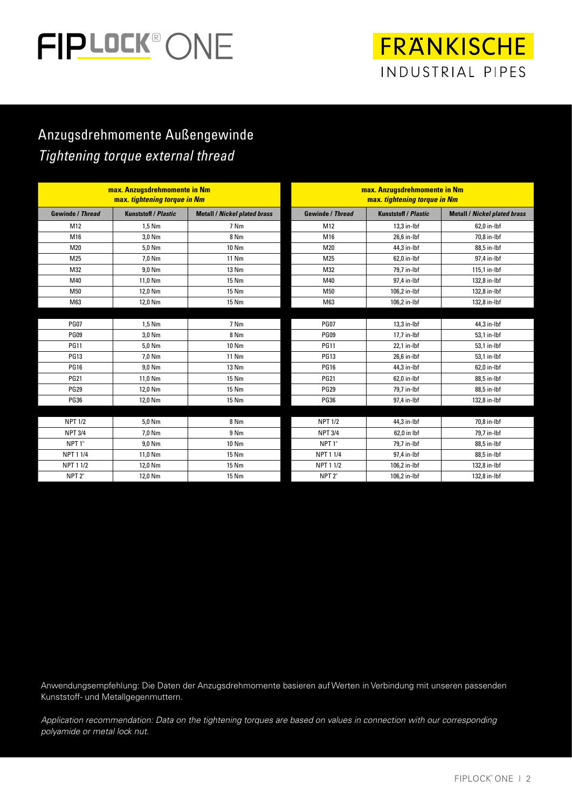

## **FRANKISCHE** INDUSTRIAL PIPES

#### Anzugsdrehmomente Außengewinde *Tightening torque external thread*

| max. Anzugsdrehmomente in Nm<br>max. tightening torque in Nm |                             |                                     | max. Anzugsdrehmomente in Nm<br>max. tightening torque in Nm |                             |                                     |
|--------------------------------------------------------------|-----------------------------|-------------------------------------|--------------------------------------------------------------|-----------------------------|-------------------------------------|
| <b>Gewinde / Thread</b>                                      | <b>Kunststoff / Plastic</b> | <b>Metall / Nickel plated brass</b> | <b>Gewinde / Thread</b>                                      | <b>Kunststoff / Plastic</b> | <b>Metall / Nickel plated brass</b> |
| M12                                                          | 1,5 Nm                      | 7 Nm                                | M12                                                          | 13,3 in-lbf                 | 62,0 in-lbf                         |
| M16                                                          | 3,0 Nm                      | 8 Nm                                | M16                                                          | 26,6 in-lbf                 | 70,8 in-lbf                         |
| M20                                                          | 5.0 Nm                      | 10 Nm                               | M20                                                          | 44,3 in-lbf                 | 88.5 in-lbf                         |
| M25                                                          | 7,0 Nm                      | 11 Nm                               | M25                                                          | 62,0 in-lbf                 | 97,4 in-lbf                         |
| M32                                                          | 9.0 Nm                      | 13 Nm                               | M32                                                          | 79,7 in-Ibf                 | 115,1 in-lbf                        |
| M40                                                          | 11.0 Nm                     | 15 Nm                               | M40                                                          | 97,4 in-lbf                 | 132,8 in-lbf                        |
| M50                                                          | 12,0 Nm                     | 15 Nm                               | M50                                                          | 106,2 in-lbf                | 132,8 in-lbf                        |
| M63                                                          | 12,0 Nm                     | 15 Nm                               | M63                                                          | 106,2 in-lbf                | 132,8 in-lbf                        |
|                                                              |                             |                                     |                                                              |                             |                                     |
| <b>PG07</b>                                                  | $1.5$ Nm                    | 7 Nm                                | <b>PG07</b>                                                  | 13,3 in-lbf                 | 44,3 in-lbf                         |
| <b>PG09</b>                                                  | 3,0 Nm                      | 8 Nm                                | <b>PG09</b>                                                  | 17,7 in-lbf                 | 53,1 in-lbf                         |
| <b>PG11</b>                                                  | 5.0 Nm                      | 10 Nm                               | <b>PG11</b>                                                  | 22,1 in-lbf                 | 53,1 in-lbf                         |
| <b>PG13</b>                                                  | 7,0 Nm                      | 11 Nm                               | <b>PG13</b>                                                  | 26,6 in-lbf                 | 53,1 in-lbf                         |
| <b>PG16</b>                                                  | 9,0 Nm                      | 13 Nm                               | <b>PG16</b>                                                  | 44,3 in-lbf                 | 62,0 in-lbf                         |
| <b>PG21</b>                                                  | 11.0 Nm                     | 15 Nm                               | <b>PG21</b>                                                  | 62,0 in-lbf                 | 88,5 in-lbf                         |
| <b>PG29</b>                                                  | 12,0 Nm                     | 15 Nm                               | <b>PG29</b>                                                  | 79,7 in-Ibf                 | 88,5 in-lbf                         |
| <b>PG36</b>                                                  | 12,0 Nm                     | 15 Nm                               | <b>PG36</b>                                                  | 97,4 in-lbf                 | 132,8 in-lbf                        |
|                                                              |                             |                                     |                                                              |                             |                                     |
| <b>NPT 1/2</b>                                               | 5,0 Nm                      | 8 Nm                                | <b>NPT 1/2</b>                                               | 44,3 in-lbf                 | 70,8 in-lbf                         |
| <b>NPT 3/4</b>                                               | 7.0 Nm                      | 9 Nm                                | <b>NPT 3/4</b>                                               | 62.0 in lbf                 | 79,7 in-Ibf                         |
| NPT <sub>1</sub> "                                           | 9,0 Nm                      | 10 Nm                               | NPT <sub>1</sub> "                                           | 79,7 in-lbf                 | 88,5 in-lbf                         |
| NPT 1 1/4                                                    | 11,0 Nm                     | 15 Nm                               | NPT 1 1/4                                                    | 97,4 in-Ibf                 | 88,5 in-lbf                         |
| <b>NPT 1 1/2</b>                                             | 12.0 Nm                     | 15 Nm                               | NPT 1 1/2                                                    | 106,2 in-Ibf                | 132,8 in-lbf                        |
| NPT <sub>2"</sub>                                            | 12,0 Nm                     | 15 Nm                               | NPT <sub>2</sub>                                             | 106,2 in-lbf                | 132,8 in-lbf                        |

Anwendungsempfehlung: Die Daten der Anzugsdrehmomente basieren auf Werten in Verbindung mit unseren passenden Kunststoff- und Metallgegenmuttern.

*Application recommendation: Data on the tightening torques are based on values in connection with our corresponding polyamide or metal lock nut.*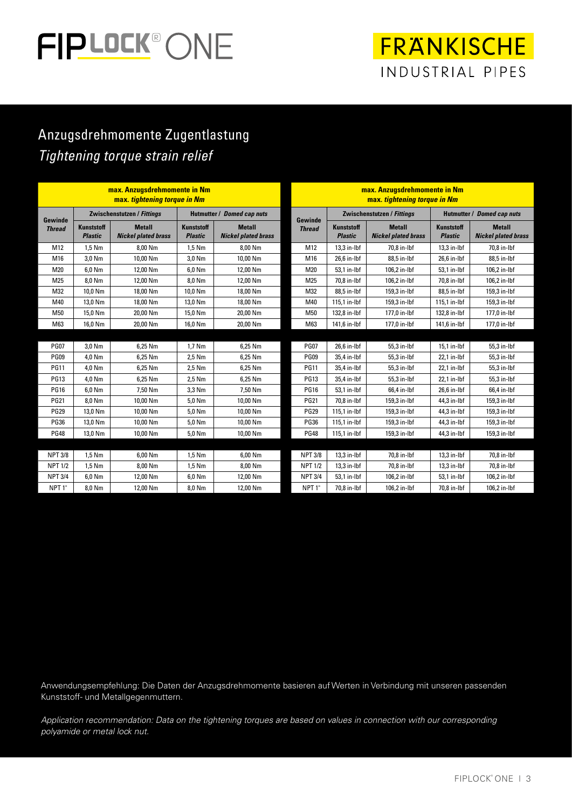# FIPLOCK® ONE

**FRANKISCHE** INDUSTRIAL PIPES

#### Anzugsdrehmomente Zugentlastung *Tightening torque strain relief*

| max. Anzugsdrehmomente in Nm<br>max. tightening torque in Nm |                                     |                                             |                                     | max. Anzugsdrehmomente in Nm<br>max. tightening torque in Nm |                          |                                     |                                             |                                     |                                             |
|--------------------------------------------------------------|-------------------------------------|---------------------------------------------|-------------------------------------|--------------------------------------------------------------|--------------------------|-------------------------------------|---------------------------------------------|-------------------------------------|---------------------------------------------|
|                                                              | Zwischenstutzen / Fittings          |                                             | Hutmutter / Domed cap nuts          |                                                              |                          | <b>Zwischenstutzen / Fittings</b>   |                                             | Hutmutter / Domed cap nuts          |                                             |
| Gewinde<br><b>Thread</b>                                     | <b>Kunststoff</b><br><b>Plastic</b> | <b>Metall</b><br><b>Nickel plated brass</b> | <b>Kunststoff</b><br><b>Plastic</b> | <b>Metall</b><br><b>Nickel plated brass</b>                  | Gewinde<br><b>Thread</b> | <b>Kunststoff</b><br><b>Plastic</b> | <b>Metall</b><br><b>Nickel plated brass</b> | <b>Kunststoff</b><br><b>Plastic</b> | <b>Metall</b><br><b>Nickel plated brass</b> |
| M12                                                          | 1.5 Nm                              | 8.00 Nm                                     | 1,5 Nm                              | 8.00 Nm                                                      | M12                      | 13,3 in-lbf                         | 70.8 in-lbf                                 | 13,3 in-lbf                         | 70.8 in-lbf                                 |
| M16                                                          | 3.0 Nm                              | 10.00 Nm                                    | 3.0 Nm                              | 10.00 Nm                                                     | M16                      | $26.6$ in-lbf                       | 88.5 in-Ibf                                 | 26.6 in-lbf                         | 88.5 in-lbf                                 |
| M20                                                          | 6.0 Nm                              | 12.00 Nm                                    | 6.0 Nm                              | 12.00 Nm                                                     | M20                      | 53,1 in-lbf                         | 106.2 in-lbf                                | 53.1 in-lbf                         | 106.2 in-lbf                                |
| M25                                                          | 8.0 Nm                              | 12.00 Nm                                    | 8.0 Nm                              | 12.00 Nm                                                     | M25                      | 70,8 in-lbf                         | 106.2 in-lbf                                | 70.8 in-lbf                         | 106.2 in-lbf                                |
| M32                                                          | 10.0 Nm                             | 18.00 Nm                                    | 10.0 Nm                             | 18.00 Nm                                                     | M32                      | 88.5 in-Ibf                         | 159.3 in-Ibf                                | 88.5 in-Ibf                         | 159.3 in-Ibf                                |
| M40                                                          | 13,0 Nm                             | 18,00 Nm                                    | 13,0 Nm                             | 18,00 Nm                                                     | M40                      | 115,1 in-lbf                        | 159,3 in-Ibf                                | 115,1 in-lbf                        | 159,3 in-lbf                                |
| M50                                                          | 15,0 Nm                             | 20,00 Nm                                    | 15,0 Nm                             | 20,00 Nm                                                     | M50                      | 132,8 in-lbf                        | 177,0 in-Ibf                                | 132,8 in-lbf                        | 177,0 in-Ibf                                |
| M63                                                          | 16.0 Nm                             | 20.00 Nm                                    | 16.0 Nm                             | 20.00 Nm                                                     | M63                      | 141,6 in-lbf                        | 177.0 in-lbf                                | 141,6 in-lbf                        | 177.0 in-Ibf                                |
|                                                              |                                     |                                             |                                     |                                                              |                          |                                     |                                             |                                     |                                             |
| <b>PG07</b>                                                  | 3,0 Nm                              | 6,25 Nm                                     | 1,7 Nm                              | 6,25 Nm                                                      | <b>PG07</b>              | 26,6 in-lbf                         | 55,3 in-lbf                                 | 15,1 in-lbf                         | 55,3 in-lbf                                 |
| <b>PG09</b>                                                  | 4.0 Nm                              | 6.25 Nm                                     | 2,5 Nm                              | 6.25 Nm                                                      | <b>PG09</b>              | 35,4 in-lbf                         | 55.3 in-Ibf                                 | 22,1 in-lbf                         | 55.3 in-lbf                                 |
| <b>PG11</b>                                                  | 4.0 Nm                              | 6.25 Nm                                     | 2,5 Nm                              | 6,25 Nm                                                      | <b>PG11</b>              | 35,4 in-lbf                         | 55,3 in-Ibf                                 | 22,1 in-lbf                         | 55,3 in-lbf                                 |
| <b>PG13</b>                                                  | 4,0 Nm                              | 6,25 Nm                                     | 2,5 Nm                              | 6,25 Nm                                                      | <b>PG13</b>              | 35,4 in-Ibf                         | 55,3 in-lbf                                 | 22,1 in-lbf                         | 55,3 in-Ibf                                 |
| <b>PG16</b>                                                  | 6.0 Nm                              | 7.50 Nm                                     | 3.3 Nm                              | 7.50 Nm                                                      | <b>PG16</b>              | 53,1 in-lbf                         | 66.4 in-lbf                                 | 26.6 in-lbf                         | 66.4 in-lbf                                 |
| <b>PG21</b>                                                  | 8,0 Nm                              | 10.00 Nm                                    | 5,0 Nm                              | 10,00 Nm                                                     | <b>PG21</b>              | 70,8 in-Ibf                         | 159,3 in-Ibf                                | 44,3 in-Ibf                         | 159,3 in-lbf                                |
| <b>PG29</b>                                                  | 13,0 Nm                             | 10,00 Nm                                    | 5,0 Nm                              | 10,00 Nm                                                     | <b>PG29</b>              | 115,1 in-lbf                        | 159,3 in-lbf                                | 44,3 in-lbf                         | 159,3 in-lbf                                |
| <b>PG36</b>                                                  | 13.0 Nm                             | 10.00 Nm                                    | 5.0 Nm                              | 10.00 Nm                                                     | <b>PG36</b>              | 115.1 in-lbf                        | 159.3 in-lbf                                | 44.3 in-lbf                         | 159.3 in-Ibf                                |
| <b>PG48</b>                                                  | 13,0 Nm                             | 10,00 Nm                                    | 5,0 Nm                              | 10,00 Nm                                                     | <b>PG48</b>              | 115,1 in-lbf                        | 159,3 in-lbf                                | 44,3 in-Ibf                         | 159,3 in-lbf                                |
|                                                              |                                     |                                             |                                     |                                                              |                          |                                     |                                             |                                     |                                             |
| <b>NPT 3/8</b>                                               | 1,5 Nm                              | 6,00 Nm                                     | 1,5 Nm                              | 6,00 Nm                                                      | <b>NPT 3/8</b>           | $13,3$ in- $Ibf$                    | 70,8 in-lbf                                 | 13,3 in-lbf                         | 70,8 in-lbf                                 |
| <b>NPT 1/2</b>                                               | $1.5$ Nm                            | 8.00 Nm                                     | 1,5 Nm                              | 8.00 Nm                                                      | <b>NPT 1/2</b>           | $13,3$ in-Ibf                       | 70.8 in-Ibf                                 | 13,3 in-lbf                         | 70,8 in-lbf                                 |
| <b>NPT 3/4</b>                                               | 6,0 Nm                              | 12,00 Nm                                    | 6,0 Nm                              | 12,00 Nm                                                     | <b>NPT 3/4</b>           | 53,1 in-lbf                         | 106,2 in-lbf                                | 53,1 in-lbf                         | 106,2 in-lbf                                |
| NPT <sub>1</sub> "                                           | 8,0 Nm                              | 12,00 Nm                                    | 8,0 Nm                              | 12,00 Nm                                                     | NPT <sub>1</sub> "       | 70,8 in-Ibf                         | 106,2 in-lbf                                | 70,8 in-lbf                         | 106,2 in-lbf                                |

Anwendungsempfehlung: Die Daten der Anzugsdrehmomente basieren auf Werten in Verbindung mit unseren passenden Kunststoff- und Metallgegenmuttern.

*Application recommendation: Data on the tightening torques are based on values in connection with our corresponding polyamide or metal lock nut.*